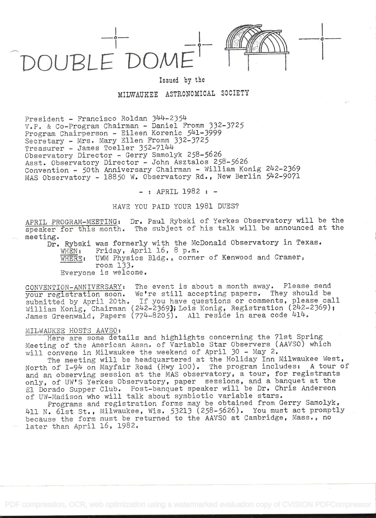DOUBLEDOME'



ika kacamatan ing Kabupatèn Kabupatèn

## Issued by the

# MILWAUKEE ASTRONOMICAL SOCIETY

President - Francisco Roldan 344-2354 V.P. & Co-Program Chairman - Daniel Fromm 332-3725 Program Chairperson - Eileen Korenic 54l-3999 Secretary - Mrs. Mary Ellen Fromm 332-3725 Treasurer - James Toeller 352-7144 Observatory Director - Gerry Samolyk 258-5626 Asst. Observatory Director - John Asztalos 258-5626 Convention - 50th Anniversary Chairman - William Konig 2U2-2369 MAS Observatory - 18850 W. Observatory Rd., New Berlin 542-9071

 $-$  : APRIL 1982 :  $-$ 

### HAVE YOU PAID YOUR 1981 DUES?

APRIL PROGRAM-MEETING: Dr. Paul Rybski of' Yerkes Observatory will be the speaker for this month. The subject of his talk will be announced at the meeting.

Dr. Rybski was formerly with the McDonald Observatory in Texas.<br>WHEN: Friday, April 16, 8 p.m. Friday, April  $16$ , 8 p.m. WHERE: UWM Physics Bldg., corner of Kenwood and Cramer, room 133. Everyone is welcome.

CONVENTION-ANNIVERSARY: The event is about a month away. Please send your registration soon. We're still accepting papers. They should be your registration soon. We're still accepting papers. They should be<br>submitted by April 20th. If you have questions or comments, please call submitted by Apiir 20th. (242-2369); Lois Konig, Registration (242-2369); James Greenwald, Papers (774-8205). All reside in area code 414.

#### MILWAUKEE HOSTS AAVSO:

Here are some details and highlights concerning the 71st Spring Meeting of' the American Assn. of Variable Star Observers (AAVSO) which will convene in Milwaukee the weekend of April 30 - May 2.

The meeting will be headquartered at the Holiday Inn Milwaukee West, North of I-9h on Mayfair Road (Hwy 100). The program includes: A tour of and an observing session at the MAS observatory, a tour, for registrants only, of UW'S Yerkes Observatory, paper sessions, and a banquet at the El Dorado Supper Club. Post-banquet speaker will be Dr. Chris Anderson El Dorado Supper Club. Tost-banquet speaker will be Bl. Smils An

Programs and registration forms may be obtained from Gerry Samolyk, 411 N. 61st St., Milwaukee, Wis. 53213 (258-5626). You must act promptly wil N. Oist St., Milwaunce, wis. Still (200 Soles). Tow must doe prompting later than April 16, 1982.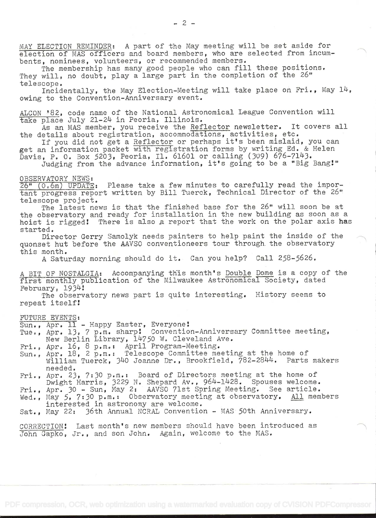MAY ELECTION REMINDER: A part of the May meeting will be set aside for election of MAS officers and. board members, who are selected from incunbents, nominees, volunteers, or recommended members.

The membership has many good people who can fill these positions. They will, no doubt, play a large part in the completion of the 26" telescope.

Incidentally, the May Election-Meeting will take place on Fri., May 14, owing to the Convention-Anniversary event.

ALCON '82, code name of the National Astronomical League Convention will take place July 21-24 in Peoria, Illinois.

As an MAS member, you receive the Reflector newsletter. It covers all the details about registration, accommodations, activities, etc.

If you did not get a Reflector or perhaps it's been mislaid, you can get an information packet with registration forms by writing Ed. & Helen Davis, P. 0. Box 5203, Peoria, Il. 61601 or calling (309) 676-7143.

Judging from the advance information, it's going to be a "Big Bang!"

#### OBSERVATORY NEWS:

26" (O.6m) UPDATE: Please take a few minutes to carefully read the important progress report written by Bill Tuerck, Technical Director of the 26" telescope project.

The latest news is that the finished base for the 26" will soon be at the observatory and ready for installation in the new building as soon as a hoist is rigged! There is also a report that the work on the polar axis has started.

Director Gerry Samolyk needs painters to help paint the inside of the quonset hut before the AAVSO conventioneers tour through. the observatory this month.

A Saturday morning should do it. Can you help? Call 258-5626.

A BIT OF NOSTALGIA: Accompanying th'is month's Double Dome is a copy of the first monthly publication of the Milwaukee Astronomical Society, dated February, 1934!

The observatory news part is quite interesting. History seems to repeat itself!

#### FUTURE EVENTS:

Sun., Apr. 11 - Happy Easter, Everyone!

Tue., Apr. 13, 7 p.m. sharp! Convention-Anniversary Committee meeting, New Berlin Library, 14750 W. Cleveland Ave.

Fri., Apr. 16, 8 p.m.: April Program-Meeting.

- Sun., Apr. 18, 2 p.m.: Telescope Committee meeting at the home of William Tuerek, 340 Joanne Dr., Brookfield, 782-2844. Parts makers needed.
- Fri., Apr. 23, 7:30 p.m.: Board of Directors meeting at the home of Dwight Harris, 3229 N. Shepard Av., 964-1428. Spouses welcome.
- Fri., Apr. 30 Sun, May 2: AAVSO 71st Spring Meeting. See article.
- Wed., May 5, 7:30 p.m.: Observatory meeting at observatory. All members interested in astronomy are welcome.

Sat., May 22: 36th Annual NCRAL Convention - MAS 50th Anniversary.

CORRECTiON! Last month's new members should have been introduced as John Gapko, Jr., and son John. Again, welcome to the MAS.